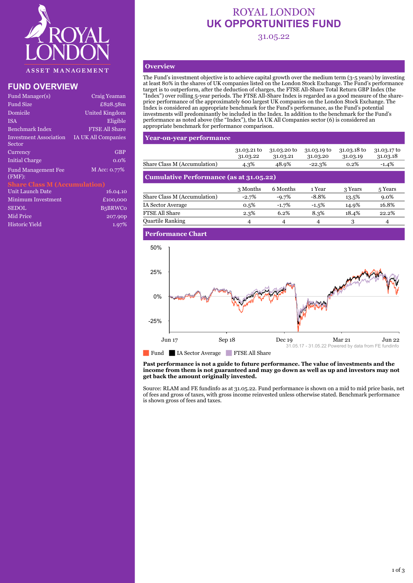

# **FUND OVERVIEW**

| Craig Yeaman                        |
|-------------------------------------|
| £828.58m                            |
| United Kingdom                      |
| Eligible                            |
| <b>FTSE All Share</b>               |
| <b>IA UK All Companies</b>          |
| <b>GBP</b>                          |
| $0.0\%$                             |
| M Acc: 0.77%                        |
| <b>Share Class M (Accumulation)</b> |
| 16.04.10                            |
| £100,000                            |
| <b>B5BRWCo</b>                      |
| 207.90p                             |
|                                     |

Historic Yield 1.97%

# ROYAL LONDON **UK OPPORTUNITIES FUND**

31.05.22

# **Overview**

The Fund's investment objective is to achieve capital growth over the medium term (3-5 years) by investing at least 80% in the shares of UK companies listed on the London Stock Exchange. The Fund's performance target is to outperform, after the deduction of charges, the FTSE All-Share Total Return GBP Index (the "Index") over rolling 5-year periods. The FTSE All-Share Index is regarded as a good measure of the shareprice performance of the approximately 600 largest UK companies on the London Stock Exchange. The Index is considered an appropriate benchmark for the Fund's performance, as the Fund's potential investments will predominantly be included in the Index. In addition to the benchmark for the Fund's performance as noted above (the "Index"), the IA UK All Companies sector (6) is considered an appropriate benchmark for performance comparison.

### **Year-on-year performance**

|                                                | 31.03.21 to<br>31.03.22 | 31.03.20 to<br>31.03.21 | 31.03.19 to<br>31.03.20 | 31.03.18 to<br>31.03.19 | 31.03.17 to<br>31.03.18 |  |  |
|------------------------------------------------|-------------------------|-------------------------|-------------------------|-------------------------|-------------------------|--|--|
| Share Class M (Accumulation)                   | 4.3%                    | 48.9%                   | $-22.3%$                | 0.2%                    | $-1.4%$                 |  |  |
| <b>Cumulative Performance (as at 31.05.22)</b> |                         |                         |                         |                         |                         |  |  |
|                                                | 3 Months                | 6 Months                | 1 Year                  | 3 Years                 | 5 Years                 |  |  |
| Share Class M (Accumulation)                   | $-2.7%$                 | $-9.7%$                 | $-8.8%$                 | 13.5%                   | $9.0\%$                 |  |  |
| IA Sector Average                              | $0.5\%$                 | $-1.7%$                 | $-1.5%$                 | 14.9%                   | 16.8%                   |  |  |
| FTSE All Share                                 | 2.3%                    | 6.2%                    | 8.3%                    | 18.4%                   | 22.2%                   |  |  |
|                                                |                         |                         |                         |                         |                         |  |  |

Quartile Ranking  $\begin{array}{cccc} 4 & 4 & 4 & 3 & 4 \end{array}$ 

## **Performance Chart**



### **Past performance is not a guide to future performance. The value of investments and the income from them is not guaranteed and may go down as well as up and investors may not get back the amount originally invested.**

Source: RLAM and FE fundinfo as at 31.05.22. Fund performance is shown on a mid to mid price basis, net of fees and gross of taxes, with gross income reinvested unless otherwise stated. Benchmark performance is shown gross of fees and taxes.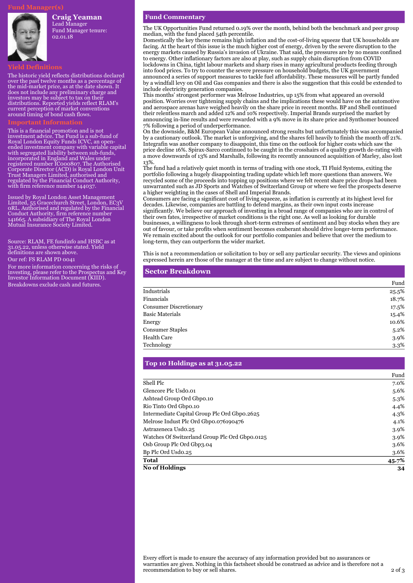### **Craig Yeaman**

Lead Manager Fund Manager tenure: 02.01.18

The historic yield reflects distributions declared over the past twelve months as a percentage of the mid-market price, as at the date shown. It does not include any preliminary charge and investors may be subject to tax on their distributions. Reported yields reflect RLAM's current perception of market conventions around timing of bond cash flows.

This is a financial promotion and is not investment advice. The Fund is a sub-fund of Royal London Equity Funds ICVC, an openended investment company with variable capital with segregated liability between sub-funds, incorporated in England and Wales under registered number IC000807. The Authorised Corporate Director (ACD) is Royal London Unit Trust Managers Limited, authorised and regulated by the Financial Conduct Authority, with firm reference number 144037.

Issued by Royal London Asset Management Limited, 55 Gracechurch Street, London, EC3V 0RL. Authorised and regulated by the Financial Conduct Authority, firm reference number 141665. A subsidiary of The Royal London Mutual Insurance Society Limited.

Source: RLAM, FE fundinfo and HSBC as at 31.05.22, unless otherwise stated. Yield definitions are shown above.

Our ref: FS RLAM PD 0041

For more information concerning the risks of investing, please refer to the Prospectus and Key Investor Information Document (KIID). Breakdowns exclude cash and futures.

### **Fund Commentary**

The UK Opportunities Fund returned 0.19% over the month, behind both the benchmark and peer group median, with the fund placed 54th percentile.

Domestically the key theme remains high inflation and the cost-of-living squeeze that UK households are facing. At the heart of this issue is the much higher cost of energy, driven by the severe disruption to the energy markets caused by Russia's invasion of Ukraine. That said, the pressures are by no means confined to energy. Other inflationary factors are also at play, such as supply chain disruption from COVID lockdowns in China, tight labour markets and sharp rises in many agricultural products feeding through into food prices. To try to counter the severe pressure on household budgets, the UK government announced a series of support measures to tackle fuel affordability. These measures will be partly funded by a windfall levy on Oil and Gas companies and there is also the suggestion that this could be extended to include electricity generation companies.

This months' strongest performer was Melrose Industries, up 15% from what appeared an oversold position. Worries over tightening supply chains and the implications these would have on the automotive and aerospace arenas have weighed heavily on the share price in recent months. BP and Shell continued their relentless march and added 12% and 10% respectively. Imperial Brands surprised the market by announcing in-line results and were rewarded with a 9% move in its share price and Synthomer bounced 7% following a period of underperformance.

On the downside, B&M European Value announced strong results but unfortunately this was accompanied by a cautionary outlook. The market is unforgiving, and the shares fell heavily to finish the month off 21%. Integrafin was another company to disappoint, this time on the outlook for higher costs which saw the price decline 16%. Spirax-Sarco continued to be caught in the crosshairs of a quality growth de-rating with a move downwards of 13% and Marshalls, following its recently announced acquisition of Marley, also lost 13%.

The fund had a relatively quiet month in terms of trading with one stock, TI Fluid Systems, exiting the portfolio following a hugely disappointing trading update which left more questions than answers. We recycled some of the proceeds into topping up positions where we felt recent share price drops had been unwarranted such as JD Sports and Watches of Switzerland Group or where we feel the prospects deserve a higher weighting in the cases of Shell and Imperial Brands.

Consumers are facing a significant cost of living squeeze, as inflation is currently at its highest level for decades. Likewise, companies are battling to defend margins, as their own input costs increase significantly. We believe our approach of investing in a broad range of companies who are in control of their own fates, irrespective of market conditions is the right one. As well as looking for durable businesses, a willingness to look through short-term extremes of sentiment and buy stocks when they are out of favour, or take profits when sentiment becomes exuberant should drive longer-term performance. We remain excited about the outlook for our portfolio companies and believe that over the medium to long-term, they can outperform the wider market.

This is not a recommendation or solicitation to buy or sell any particular security. The views and opinions expressed herein are those of the manager at the time and are subject to change without notice.

### **Sector Breakdown**

|                               | Fund  |
|-------------------------------|-------|
| Industrials                   | 25.5% |
| Financials                    | 18.7% |
| <b>Consumer Discretionary</b> | 17.5% |
| <b>Basic Materials</b>        | 15.4% |
| Energy                        | 10.6% |
| <b>Consumer Staples</b>       | 5.2%  |
| <b>Health Care</b>            | 3.9%  |
| Technology                    | 3.3%  |

### **Top 10 Holdings as at 31.05.22**

|                                                | Fund    |
|------------------------------------------------|---------|
| Shell Plc                                      | 7.0%    |
| Glencore Plc Usdo.01                           | 5.6%    |
| Ashtead Group Ord Gbpo.10                      | 5.3%    |
| Rio Tinto Ord Gbpo.10                          | 4.4%    |
| Intermediate Capital Group Plc Ord Gbpo.2625   | 4.3%    |
| Melrose Indust Plc Ord Gbpo.076190476          | $4.1\%$ |
| Astrazeneca Usdo.25                            | 3.9%    |
| Watches Of Switzerland Group Plc Ord Gbpo.0125 | 3.9%    |
| Osb Group Plc Ord Gbp3.04                      | 3.6%    |
| Bp Plc Ord Usdo.25                             | 3.6%    |
| <b>Total</b>                                   | 45.7%   |
| <b>No of Holdings</b>                          | 34      |

Every effort is made to ensure the accuracy of any information provided but no assurances or warranties are given. Nothing in this factsheet should be construed as advice and is therefore not a recommendation to buy or sell shares. 2 of 3